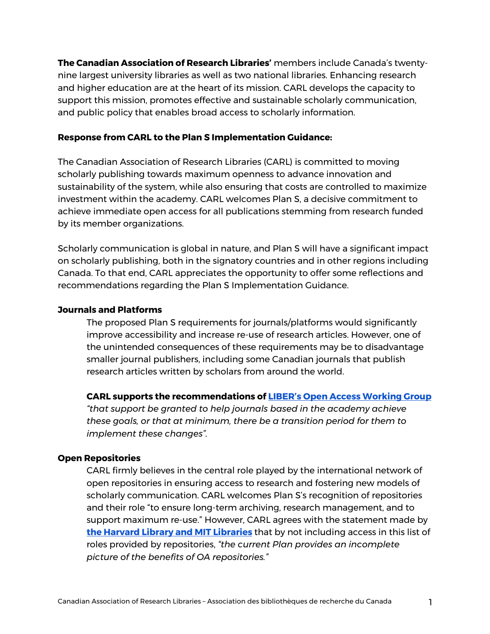**The Canadian Association of Research Libraries'** members include Canada's twentynine largest university libraries as well as two national libraries. Enhancing research and higher education are at the heart of its mission. CARL develops the capacity to support this mission, promotes effective and sustainable scholarly communication, and public policy that enables broad access to scholarly information.

## **Response from CARL to the Plan S Implementation Guidance:**

The Canadian Association of Research Libraries (CARL) is committed to moving scholarly publishing towards maximum openness to advance innovation and sustainability of the system, while also ensuring that costs are controlled to maximize investment within the academy. CARL welcomes Plan S, a decisive commitment to achieve immediate open access for all publications stemming from research funded by its member organizations.

Scholarly communication is global in nature, and Plan S will have a significant impact on scholarly publishing, both in the signatory countries and in other regions including Canada. To that end, CARL appreciates the opportunity to offer some reflections and recommendations regarding the Plan S Implementation Guidance.

### **Journals and Platforms**

The proposed Plan S requirements for journals/platforms would significantly improve accessibility and increase re-use of research articles. However, one of the unintended consequences of these requirements may be to disadvantage smaller journal publishers, including some Canadian journals that publish research articles written by scholars from around the world.

#### **CARL supports the recommendations of LIBER's Open Access Working Group**

*"that support be granted to help journals based in the academy achieve these goals, or that at minimum, there be a transition period for them to implement these changes".* 

#### **Open Repositories**

CARL firmly believes in the central role played by the international network of open repositories in ensuring access to research and fostering new models of scholarly communication. CARL welcomes Plan S's recognition of repositories and their role "to ensure long-term archiving, research management, and to support maximum re-use." However, CARL agrees with the statement made by **the Harvard Library and MIT Libraries** that by not including access in this list of roles provided by repositories, *"the current Plan provides an incomplete picture of the benefits of OA repositories."*